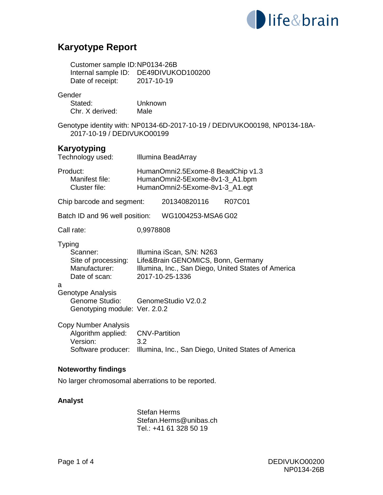

# **Karyotype Report**

| Customer sample ID:NP0134-26B                                                                                                                        |                                                     |                                                                                    |  |                                                                           |  |
|------------------------------------------------------------------------------------------------------------------------------------------------------|-----------------------------------------------------|------------------------------------------------------------------------------------|--|---------------------------------------------------------------------------|--|
| Date of receipt:                                                                                                                                     | Internal sample ID: DE49DIVUKOD100200<br>2017-10-19 |                                                                                    |  |                                                                           |  |
| Gender<br>Stated:<br>Chr. X derived:                                                                                                                 | Unknown<br>Male                                     |                                                                                    |  |                                                                           |  |
| 2017-10-19 / DEDIVUKO00199                                                                                                                           |                                                     |                                                                                    |  | Genotype identity with: NP0134-6D-2017-10-19 / DEDIVUKO00198, NP0134-18A- |  |
| Karyotyping<br>Technology used:                                                                                                                      |                                                     | Illumina BeadArray                                                                 |  |                                                                           |  |
| Product:<br>HumanOmni2.5Exome-8 BeadChip v1.3<br>Manifest file:<br>HumanOmni2-5Exome-8v1-3_A1.bpm<br>Cluster file:<br>HumanOmni2-5Exome-8v1-3_A1.egt |                                                     |                                                                                    |  |                                                                           |  |
| Chip barcode and segment:                                                                                                                            |                                                     | 201340820116                                                                       |  | R07C01                                                                    |  |
| Batch ID and 96 well position:                                                                                                                       |                                                     | WG1004253-MSA6 G02                                                                 |  |                                                                           |  |
| Call rate:                                                                                                                                           | 0,9978808                                           |                                                                                    |  |                                                                           |  |
| <b>Typing</b><br>Scanner:<br>Site of processing:<br>Manufacturer:<br>Date of scan:                                                                   |                                                     | Illumina iScan, S/N: N263<br>Life&Brain GENOMICS, Bonn, Germany<br>2017-10-25-1336 |  | Illumina, Inc., San Diego, United States of America                       |  |
| а<br>Genotype Analysis<br>Genome Studio:<br>Genotyping module: Ver. 2.0.2                                                                            | GenomeStudio V2.0.2                                 |                                                                                    |  |                                                                           |  |
| <b>Copy Number Analysis</b><br>Algorithm applied:<br>Version:<br>Software producer:                                                                  | <b>CNV-Partition</b><br>3.2                         |                                                                                    |  | Illumina, Inc., San Diego, United States of America                       |  |
| <b>Noteworthy findings</b>                                                                                                                           |                                                     |                                                                                    |  |                                                                           |  |

No larger chromosomal aberrations to be reported.

## **Analyst**

 Stefan Herms Stefan.Herms@unibas.ch Tel.: +41 61 328 50 19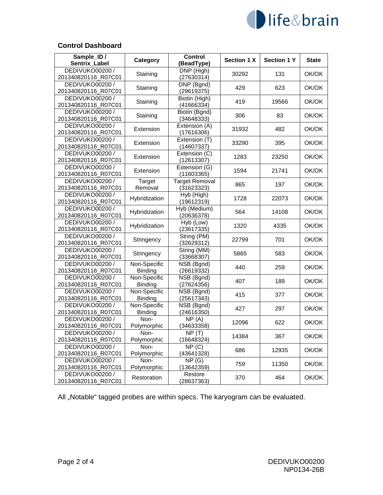

#### **Control Dashboard**

| Sample_ID /<br>Sentrix Label           | Category                       | Control                               | <b>Section 1 X</b> | <b>Section 1 Y</b> | <b>State</b> |  |
|----------------------------------------|--------------------------------|---------------------------------------|--------------------|--------------------|--------------|--|
|                                        |                                | (BeadType)                            |                    |                    |              |  |
| DEDIVUKO00200 /<br>201340820116_R07C01 | Staining                       | DNP (High)<br>(27630314)              | 30292              | 131                | OK/OK        |  |
| DEDIVUKO00200 /<br>201340820116_R07C01 | Staining                       | $\overline{DNP}$ (Bgnd)<br>(29619375) | 429                | 623                | OK/OK        |  |
| DEDIVUKO00200 /                        |                                |                                       |                    |                    |              |  |
| 201340820116_R07C01                    | Staining                       | Biotin (High)<br>(41666334)           | 419                | 19566              | OK/OK        |  |
| DEDIVUKO00200 /<br>201340820116 R07C01 | Staining                       | Biotin (Bgnd)<br>(34648333)           | 306                | 83                 | OK/OK        |  |
| DEDIVUKO00200 /                        | Extension                      | Extension (A)                         | 31932              | 482                | OK/OK        |  |
| 201340820116_R07C01                    |                                | (17616306)                            |                    |                    |              |  |
| DEDIVUKO00200 /<br>201340820116_R07C01 | Extension                      | Extension (T)<br>(14607337)           | 33290              | 395                | OK/OK        |  |
| DEDIVUKO00200 /<br>201340820116_R07C01 | Extension                      | Extension (C)<br>(12613307)           | 1283               | 23250              | OK/OK        |  |
| DEDIVUKO00200 /                        | Extension                      | Extension (G)                         | 1594               | 21741              | OK/OK        |  |
| 201340820116_R07C01                    |                                | (11603365)                            |                    |                    |              |  |
| DEDIVUKO00200 /<br>201340820116 R07C01 | Target<br>Removal              | <b>Target Removal</b><br>(31623323)   | 865                | 197                | OK/OK        |  |
| DEDIVUKO00200 /                        | Hybridization                  | $\overline{Hyb}$ (High)               | 1728               | 22073              | OK/OK        |  |
| 201340820116_R07C01                    |                                | (19612319)                            |                    |                    |              |  |
| DEDIVUKO00200 /<br>201340820116_R07C01 | Hybridization                  | Hyb (Medium)<br>(20636378)            | 564                | 14108              | OK/OK        |  |
| DEDIVUKO00200 /<br>201340820116 R07C01 | Hybridization                  | Hyb (Low)<br>(23617335)               | 1320               | 4335               | OK/OK        |  |
| DEDIVUKO00200 /                        | Stringency                     | String (PM)                           | 22799              | 701                | OK/OK        |  |
| 201340820116_R07C01                    |                                | (32629312)                            |                    |                    |              |  |
| DEDIVUKO00200 /<br>201340820116_R07C01 | Stringency                     | String (MM)<br>(33668307)             | 5865               | 583                | OK/OK        |  |
| DEDIVUKO00200 /<br>201340820116_R07C01 | Non-Specific<br><b>Binding</b> | NSB (Bgnd)<br>(26619332)              | 440                | 259                | OK/OK        |  |
| DEDIVUKO00200 /                        | Non-Specific                   | NSB (Bgnd)                            |                    |                    |              |  |
| 201340820116_R07C01                    | Binding                        | (27624356)                            | 407                | 189                | OK/OK        |  |
| DEDIVUKO00200 /                        | Non-Specific                   | NSB (Bgnd)                            | 415                | 377                | OK/OK        |  |
| 201340820116_R07C01                    | <b>Binding</b>                 | (25617343)                            |                    |                    |              |  |
| DEDIVUKO00200 /<br>201340820116_R07C01 | Non-Specific<br><b>Binding</b> | NSB (Bgnd)<br>(24616350)              | 427                | 297                | OK/OK        |  |
| DEDIVUKO00200 /                        | Non-                           | NP(A)                                 |                    |                    |              |  |
| 201340820116_R07C01                    | Polymorphic                    | (34633358)                            | 12096              | 622                | OK/OK        |  |
| DEDIVUKO00200 /<br>201340820116_R07C01 | Non-<br>Polymorphic            | NP(T)<br>(16648324)                   | 14384              | 367                | OK/OK        |  |
| DEDIVUKO00200 /                        | Non-                           | NP(C)                                 |                    |                    |              |  |
| 201340820116_R07C01                    | Polymorphic                    | (43641328)                            | 686                | 12935              | OK/OK        |  |
| DEDIVUKO00200 /                        | Non-                           | NP(G)                                 |                    |                    |              |  |
| 201340820116_R07C01                    | Polymorphic                    | (13642359)                            | 759                | 11350              | OK/OK        |  |
| DEDIVUKO00200 /                        |                                | Restore                               |                    |                    | OK/OK        |  |
| 201340820116_R07C01                    | Restoration                    | (28637363)                            | 370                | 464                |              |  |

All "Notable" tagged probes are within specs. The karyogram can be evaluated.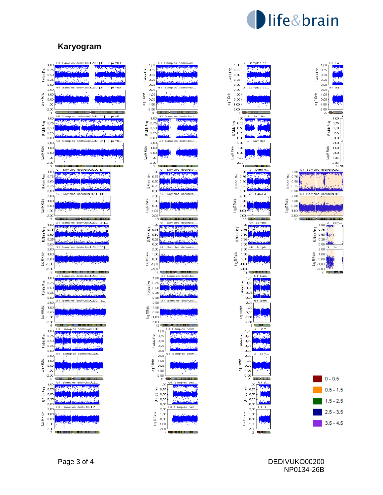

B Allele Freq

Log R Ratio

# **Karyogram**

|                      | 1,00                    | (1 pxF<br>GΙ<br>[31]<br>iampies<br>dedi<br>vukoUUZUU<br>-버 |
|----------------------|-------------------------|------------------------------------------------------------|
|                      |                         |                                                            |
|                      | 0,75                    |                                                            |
| Allele Freq          | $_{0,50}$               |                                                            |
| œ                    | 0,25                    |                                                            |
|                      | 0,00                    |                                                            |
|                      | 2,00                    | GT<br>dedivukoUUZUU<br>[31]<br>88.<br>(1 pxl<br>Samples    |
|                      | 1,00                    |                                                            |
|                      | 0,00                    |                                                            |
| Log R Ratio          | $-1,00$                 |                                                            |
|                      |                         |                                                            |
|                      | $-2,00$<br>1            |                                                            |
|                      |                         |                                                            |
|                      | 1,00                    |                                                            |
|                      | 0,75                    |                                                            |
| <b>BAllele Fren</b>  | 0,50                    |                                                            |
|                      | 0,25                    |                                                            |
|                      | 0,00                    | GI<br>Samples<br>ikoUUZUU<br> 31<br>dedivt                 |
|                      | 2,00                    |                                                            |
|                      | 1,00                    |                                                            |
| Log R Ratio          | 0,00                    |                                                            |
|                      | $-1,00$                 |                                                            |
|                      | $-2,00$                 |                                                            |
|                      | $\overline{\mathbf{c}}$ |                                                            |
|                      | 1,00                    | 31 J                                                       |
|                      | 0,75                    |                                                            |
| B Allele Freq        | 0,50                    |                                                            |
|                      | 0,25                    |                                                            |
|                      | 0,00                    |                                                            |
|                      | 2,00                    | 511.<br>dedivukoUUZUU<br>Б<br>Samples                      |
|                      |                         |                                                            |
| Log R Ratio          | 1,00                    |                                                            |
|                      | 0,00                    |                                                            |
|                      | $-1,00$                 |                                                            |
|                      | $-2,00$<br>3            |                                                            |
|                      |                         | dedr<br>mples<br>51                                        |
|                      | 1,00                    |                                                            |
|                      | 0,75                    |                                                            |
| <b>B Allele</b> Freq | 0,50                    |                                                            |
|                      | 0,25                    |                                                            |
|                      | 0,00                    | 2UU                                                        |
|                      | 2,00                    | ukoUU.<br>[31]<br>dediv<br>lles                            |
| Log R Ratio          | 1,00                    |                                                            |
|                      | 0,00                    |                                                            |
|                      | 1,00                    |                                                            |
|                      | $-2,00$                 |                                                            |
|                      | 4                       |                                                            |
|                      | 1,00                    |                                                            |
|                      | 0,75                    |                                                            |
|                      | 0,50                    |                                                            |
| <b>BAllele</b>       | 0,25                    |                                                            |
|                      | 0,00                    |                                                            |
|                      | 2,00                    | [3]<br>I<br>iamples<br>dedivukoUU2UU                       |
|                      | 1,00                    |                                                            |
| Log R Ratii          | 0,00                    |                                                            |
|                      | -1,00                   |                                                            |
|                      | $-2,00$                 |                                                            |
|                      | 5                       |                                                            |
|                      | 1,00                    | GI<br>dedivukoUUZUU.<br>samples                            |
|                      |                         |                                                            |
| E<br>Freq            | 0,75                    |                                                            |
|                      | 0,50                    |                                                            |
| ≅<br>⊡               | 0,25                    |                                                            |
|                      | 0,00                    | Samples<br>dedivukoUU2UU<br>GΙ                             |
|                      | 2,00                    |                                                            |
| Log R Ratio          | 1,00                    |                                                            |
|                      | 0,00                    |                                                            |
|                      | $-1,00$                 |                                                            |
|                      | $-2,00$                 |                                                            |
|                      | 6                       | GΙ<br>de                                                   |
|                      | 1,00                    |                                                            |
|                      | 0,75                    |                                                            |
| <b>BAllele</b> Freq  | 0,50                    |                                                            |
|                      | 0,25                    |                                                            |
|                      | 0,00                    |                                                            |
|                      | 2,00                    | Samı<br>rukoLll<br>dede<br>oles                            |
|                      | 1,00                    |                                                            |
| -oq R Ratio          | 0,00                    |                                                            |
|                      | 1,00                    |                                                            |
|                      | 2,00                    |                                                            |
|                      |                         |                                                            |







Sa